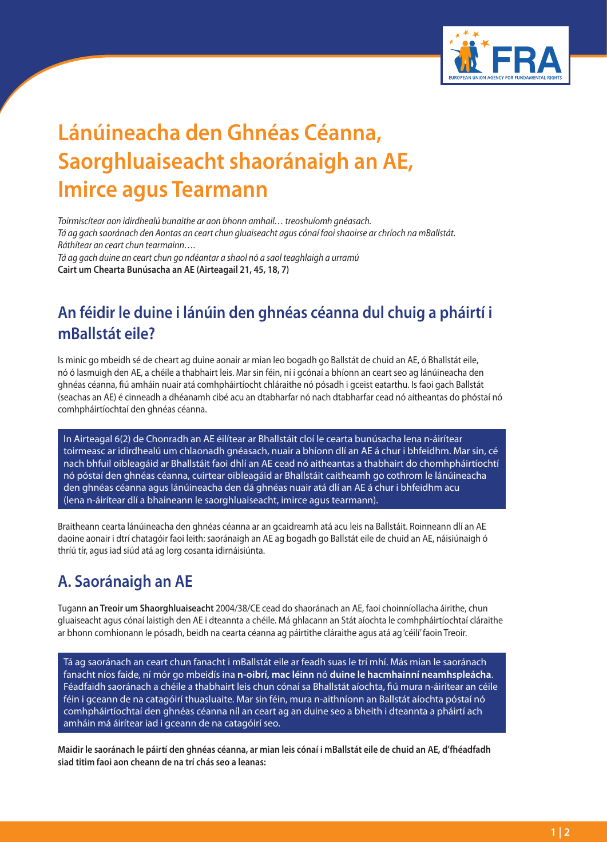

# **Lánúineacha den Ghnéas Céanna, Saorghluaiseacht shaoránaigh an AE, Imirce agus Tearmann**

*Toirmiscítear aon idirdhealú bunaithe ar aon bhonn amhail… treoshuíomh gnéasach. Tá ag gach saoránach den Aontas an ceart chun gluaiseacht agus cónaí faoi shaoirse ar chríoch na mBallstát. Ráthítear an ceart chun tearmainn…. Tá ag gach duine an ceart chun go ndéantar a shaol nó a saol teaghlaigh a urramú*

**Cairt um Chearta Bunúsacha an AE (Airteagail 21, 45, 18, 7)**

## **An féidir le duine i lánúin den ghnéas céanna dul chuig a pháirtí i mBallstát eile?**

Is minic go mbeidh sé de cheart ag duine aonair ar mian leo bogadh go Ballstát de chuid an AE, ó Bhallstát eile, nó ó lasmuigh den AE, a chéile a thabhairt leis. Mar sin féin, ní i gcónaí a bhíonn an ceart seo ag lánúineacha den ghnéas céanna, fiú amháin nuair atá comhpháirtíocht chláraithe nó pósadh i gceist eatarthu. Is faoi gach Ballstát (seachas an AE) é cinneadh a dhéanamh cibé acu an dtabharfar nó nach dtabharfar cead nó aitheantas do phóstaí nó comhpháirtíochtaí den ghnéas céanna.

In Airteagal 6(2) de Chonradh an AE éilítear ar Bhallstáit cloí le cearta bunúsacha lena n-áirítear toirmeasc ar idirdhealú um chlaonadh gnéasach, nuair a bhíonn dlí an AE á chur i bhfeidhm. Mar sin, cé nach bhfuil oibleagáid ar Bhallstáit faoi dhlí an AE cead nó aitheantas a thabhairt do chomhpháirtíochtí nó póstaí den ghnéas céanna, cuirtear oibleagáid ar Bhallstáit caitheamh go cothrom le lánúineacha den ghnéas céanna agus lánúineacha den dá ghnéas nuair atá dlí an AE á chur i bhfeidhm acu (lena n-áirítear dlí a bhaineann le saorghluaiseacht, imirce agus tearmann).

Braitheann cearta lánúineacha den ghnéas céanna ar an gcaidreamh atá acu leis na Ballstáit. Roinneann dlí an AE daoine aonair i dtrí chatagóir faoi leith: saoránaigh an AE ag bogadh go Ballstát eile de chuid an AE, náisiúnaigh ó thríú tír, agus iad siúd atá ag lorg cosanta idirnáisiúnta.

## **A. Saoránaigh an AE**

Tugann **an Treoir um Shaorghluaiseacht** 2004/38/CE cead do shaoránach an AE, faoi choinníollacha áirithe, chun gluaiseacht agus cónaí laistigh den AE i dteannta a chéile. Má ghlacann an Stát aíochta le comhpháirtíochtaí cláraithe ar bhonn comhionann le pósadh, beidh na cearta céanna ag páirtithe cláraithe agus atá ag 'céilí' faoin Treoir.

Tá ag saoránach an ceart chun fanacht i mBallstát eile ar feadh suas le trí mhí. Más mian le saoránach fanacht níos faide, ní mór go mbeidís ina **n-oibrí, mac léinn** nó **duine le hacmhainní neamhspleácha**. Féadfaidh saoránach a chéile a thabhairt leis chun cónaí sa Bhallstát aíochta, fiú mura n-áirítear an céile féin i gceann de na catagóirí thuasluaite. Mar sin féin, mura n-aithníonn an Ballstát aíochta póstaí nó comhpháirtíochtaí den ghnéas céanna níl an ceart ag an duine seo a bheith i dteannta a pháirtí ach amháin má áirítear iad i gceann de na catagóirí seo.

**Maidir le saoránach le páirtí den ghnéas céanna, ar mian leis cónaí i mBallstát eile de chuid an AE, d'fhéadfadh siad titim faoi aon cheann de na trí chás seo a leanas:**